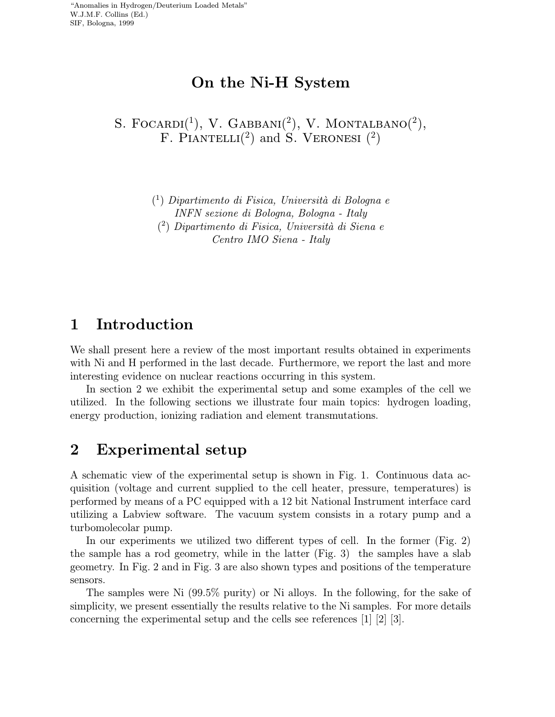$\sim$ 

# On the Ni-H System

S. FOCARDI<sup>(1</sup>), V. GABBANI<sup>(2</sup>), V. MONTALBANO<sup>(2</sup>), F. PIANTELLI<sup>(2)</sup> and S. VERONESI<sup>(2)</sup>

> $(1)$  Dipartimento di Fisica, Università di Bologna e INFN sezione di Bologna, Bologna - Italy  $(2)$  Dipartimento di Fisica, Università di Siena e Centro IMO Siena - Italy

# 1 Introduction

We shall present here a review of the most important results obtained in experiments with Ni and H performed in the last decade. Furthermore, we report the last and more interesting evidence on nuclear reactions occurring in this system.

In section 2 we exhibit the experimental setup and some examples of the cell we utilized. In the following sections we illustrate four main topics: hydrogen loading, energy production, ionizing radiation and element transmutations.

### 2 Experimental setup

A schematic view of the experimental setup is shown in Fig. 1. Continuous data acquisition (voltage and current supplied to the cell heater, pressure, temperatures) is performed by means of a PC equipped with a 12bit National Instrument interface card utilizing a Labview software. The vacuum system consists in a rotary pump and a turbomolecolar pump.

In our experiments we utilized two different types of cell. In the former (Fig. 2) the sample has a rod geometry, while in the latter (Fig. 3) the samples have a slab geometry. In Fig. 2and in Fig. 3 are also shown types and positions of the temperature sensors.

The samples were Ni (99.5% purity) or Ni alloys. In the following, for the sake of simplicity, we present essentially the results relative to the Ni samples. For more details concerning the experimental setup and the cells see references [1] [2] [3].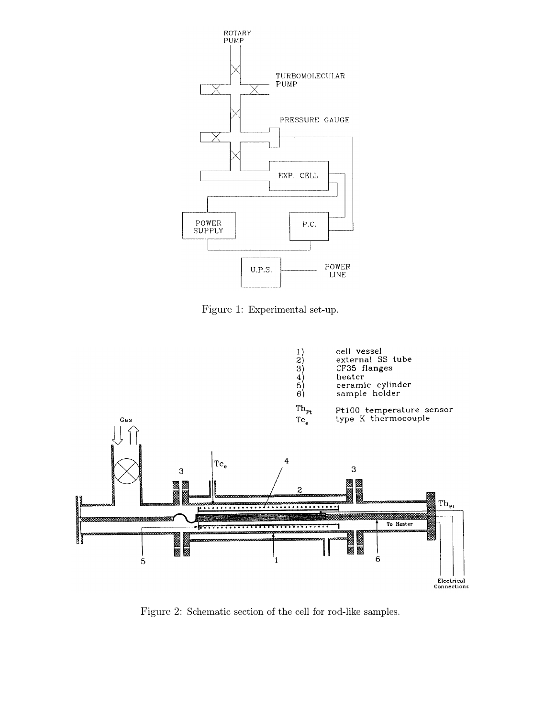

Figure 1: Experimental set-up.



Figure 2: Schematic section of the cell for rod-like samples.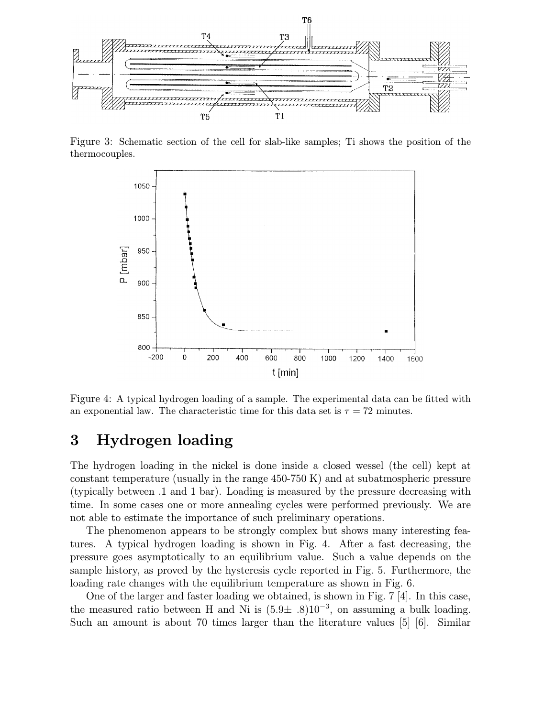

Figure 3: Schematic section of the cell for slab-like samples; Ti shows the position of the thermocouples.



Figure 4: A typical hydrogen loading of a sample. The experimental data can be fitted with an exponential law. The characteristic time for this data set is  $\tau = 72$  minutes.

### 3 Hydrogen loading

The hydrogen loading in the nickel is done inside a closed wessel (the cell) kept at constant temperature (usually in the range 450-750 K) and at subatmospheric pressure (typically between .1 and 1 bar). Loading is measured by the pressure decreasing with time. In some cases one or more annealing cycles were performed previously. We are not able to estimate the importance of such preliminary operations.

The phenomenon appears to be strongly complex but shows many interesting features. A typical hydrogen loading is shown in Fig. 4. After a fast decreasing, the pressure goes asymptotically to an equilibrium value. Such a value depends on the sample history, as proved by the hysteresis cycle reported in Fig. 5. Furthermore, the loading rate changes with the equilibrium temperature as shown in Fig. 6.

One of the larger and faster loading we obtained, is shown in Fig. 7 [4]. In this case, the measured ratio between H and Ni is  $(5.9\pm .8)10^{-3}$ , on assuming a bulk loading. Such an amount is about 70 times larger than the literature values [5] [6]. Similar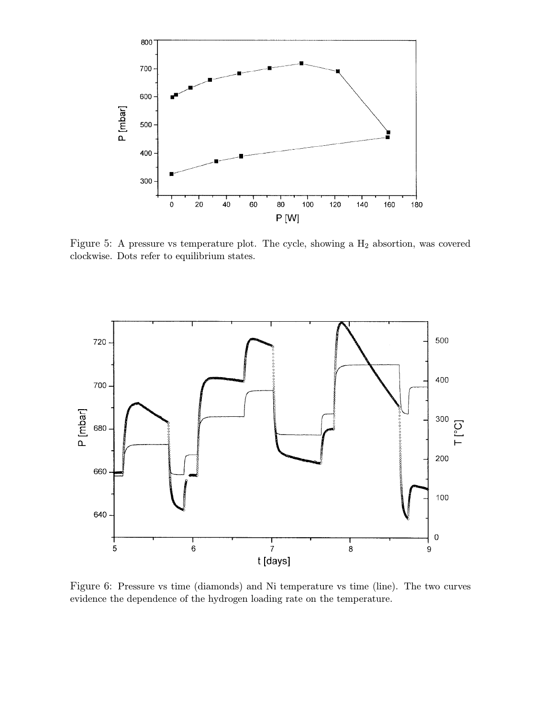

Figure 5: A pressure vs temperature plot. The cycle, showing a  $H_2$  absortion, was covered clockwise. Dots refer to equilibrium states.



Figure 6: Pressure vs time (diamonds) and Ni temperature vs time (line). The two curves evidence the dependence of the hydrogen loading rate on the temperature.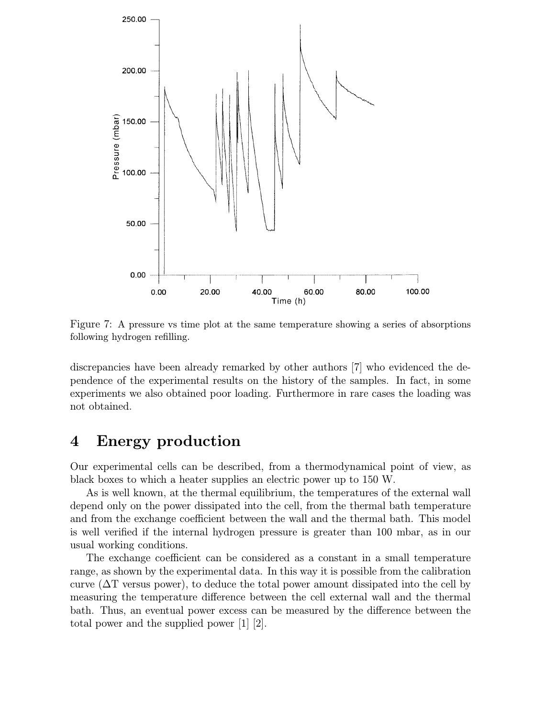

Figure 7: A pressure vs time plot at the same temperature showing a series of absorptions following hydrogen refilling.

discrepancies have been already remarked by other authors [7] who evidenced the dependence of the experimental results on the history of the samples. In fact, in some experiments we also obtained poor loading. Furthermore in rare cases the loading was not obtained.

### 4 Energy production

Our experimental cells can be described, from a thermodynamical point of view, as black boxes to which a heater supplies an electric power up to 150 W.

As is well known, at the thermal equilibrium, the temperatures of the external wall depend only on the power dissipated into the cell, from the thermal bath temperature and from the exchange coefficient between the wall and the thermal bath. This model is well verified if the internal hydrogen pressure is greater than 100 mbar, as in our usual working conditions.

The exchange coefficient can be considered as a constant in a small temperature range, as shown by the experimental data. In this way it is possible from the calibration curve ( $\Delta T$  versus power), to deduce the total power amount dissipated into the cell by measuring the temperature difference between the cell external wall and the thermal bath. Thus, an eventual power excess can be measured by the difference between the total power and the supplied power [1] [2].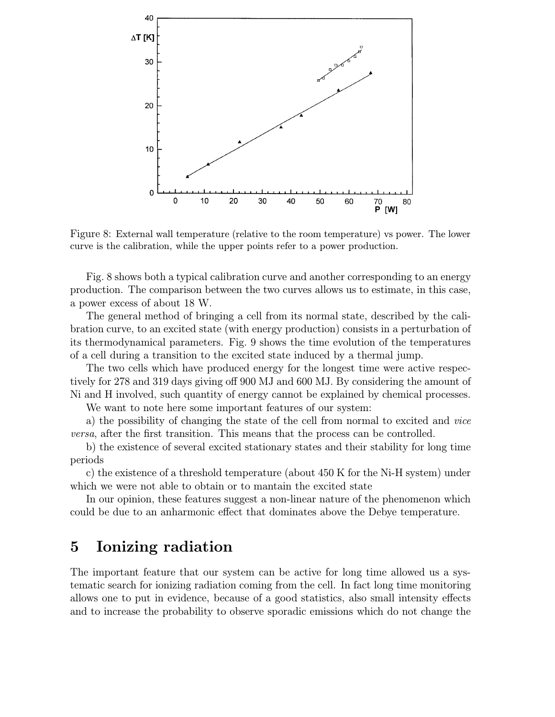

Figure 8: External wall temperature (relative to the room temperature) vs power. The lower curve is the calibration, while the upper points refer to a power production.

Fig. 8 shows both a typical calibration curve and another corresponding to an energy production. The comparison between the two curves allows us to estimate, in this case, a power excess of about 18 W.

The general method of bringing a cell from its normal state, described by the calibration curve, to an excited state (with energy production) consists in a perturbation of its thermodynamical parameters. Fig. 9 shows the time evolution of the temperatures of a cell during a transition to the excited state induced by a thermal jump.

The two cells which have produced energy for the longest time were active respectively for 278 and 319 days giving off 900 MJ and 600 MJ. By considering the amount of Ni and H involved, such quantity of energy cannot be explained by chemical processes.

We want to note here some important features of our system:

a) the possibility of changing the state of the cell from normal to excited and vice versa, after the first transition. This means that the process can be controlled.

b) the existence of several excited stationary states and their stability for long time periods

c) the existence of a threshold temperature (about 450 K for the Ni-H system) under which we were not able to obtain or to mantain the excited state

In our opinion, these features suggest a non-linear nature of the phenomenon which could be due to an anharmonic effect that dominates above the Debye temperature.

### 5 Ionizing radiation

The important feature that our system can be active for long time allowed us a systematic search for ionizing radiation coming from the cell. In fact long time monitoring allows one to put in evidence, because of a good statistics, also small intensity effects and to increase the probability to observe sporadic emissions which do not change the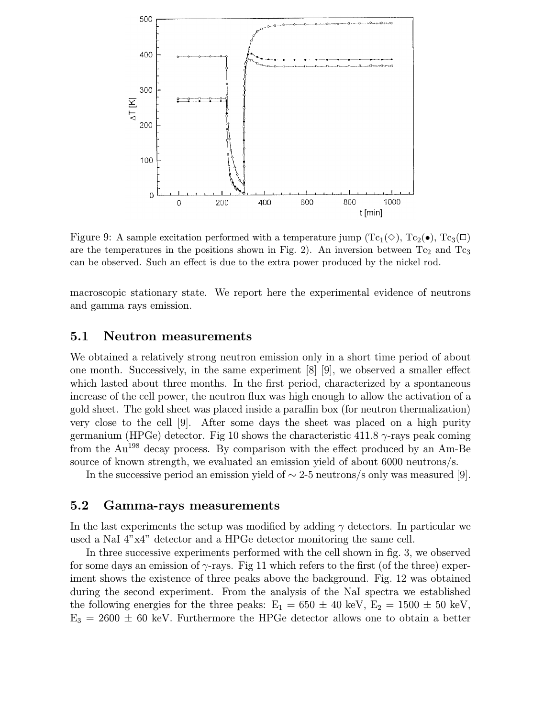

Figure 9: A sample excitation performed with a temperature jump  $(Tc_1(\Diamond), Tc_2(\bullet), Tc_3(\Box))$ are the temperatures in the positions shown in Fig. 2). An inversion between  $Tc_2$  and  $Tc_3$ can be observed. Such an effect is due to the extra power produced by the nickel rod.

macroscopic stationary state. We report here the experimental evidence of neutrons and gamma rays emission.

#### 5.1 Neutron measurements

We obtained a relatively strong neutron emission only in a short time period of about one month. Successively, in the same experiment [8] [9], we observed a smaller effect which lasted about three months. In the first period, characterized by a spontaneous increase of the cell power, the neutron flux was high enough to allow the activation of a gold sheet. The gold sheet was placed inside a paraffin box (for neutron thermalization) very close to the cell [9]. After some days the sheet was placed on a high purity germanium (HPGe) detector. Fig 10 shows the characteristic 411.8  $\gamma$ -rays peak coming from the Au<sup>198</sup> decay process. By comparison with the effect produced by an Am-Be source of known strength, we evaluated an emission yield of about 6000 neutrons/s.

In the successive period an emission yield of  $\sim$  2-5 neutrons/s only was measured [9].

#### 5.2 Gamma-rays measurements

In the last experiments the setup was modified by adding  $\gamma$  detectors. In particular we used a NaI 4"x4" detector and a HPGe detector monitoring the same cell.

In three successive experiments performed with the cell shown in fig. 3, we observed for some days an emission of  $\gamma$ -rays. Fig 11 which refers to the first (of the three) experiment shows the existence of three peaks above the background. Fig. 12 was obtained during the second experiment. From the analysis of the NaI spectra we established the following energies for the three peaks:  $E_1 = 650 \pm 40 \text{ keV}, E_2 = 1500 \pm 50 \text{ keV}$ ,  $E_3 = 2600 \pm 60$  keV. Furthermore the HPGe detector allows one to obtain a better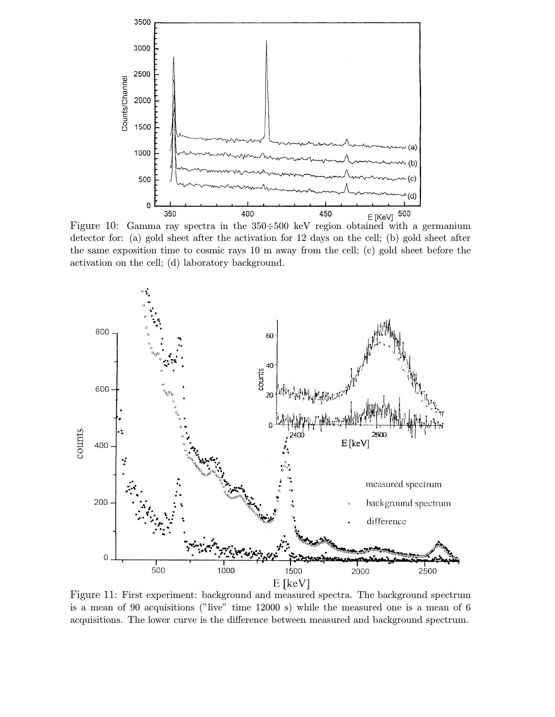

detector for: (a) gold sheet after the activation for 12 days on the cell; (b) gold sheet after the same exposition time to cosmic rays 10 m away from the cell; (c) gold sheet before the activation on the cell; (d) laboratory background.



Figure 11: First experiment: background and measured spectra. The background spectrum is a mean of 90 acquisitions ("live" time 12000 s) while the measured one is a mean of 6 acquisitions. The lower curve is the difference between measured and background spectrum.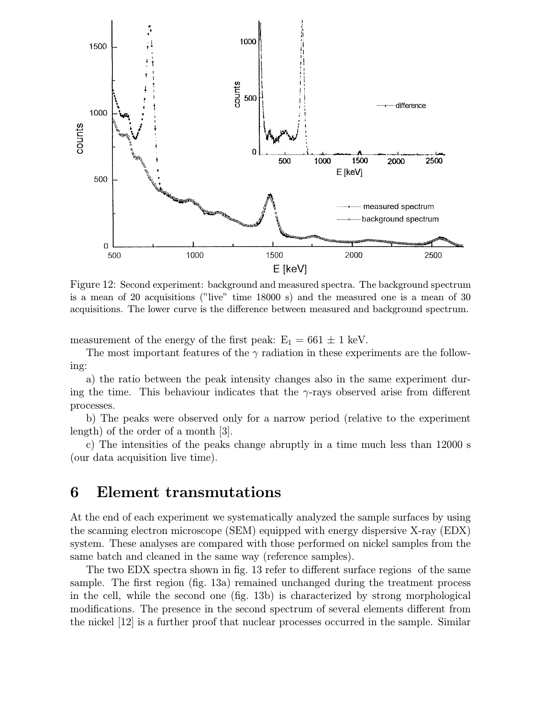

Figure 12: Second experiment: background and measured spectra. The background spectrum is a mean of 20 acquisitions ("live" time 18000 s) and the measured one is a mean of 30 acquisitions. The lower curve is the difference between measured and background spectrum.

measurement of the energy of the first peak:  $E_1 = 661 \pm 1$  keV.

The most important features of the  $\gamma$  radiation in these experiments are the following:

a) the ratio between the peak intensity changes also in the same experiment during the time. This behaviour indicates that the  $\gamma$ -rays observed arise from different processes.

b) The peaks were observed only for a narrow period (relative to the experiment length) of the order of a month [3].

c) The intensities of the peaks change abruptly in a time much less than 12000 s (our data acquisition live time).

### 6 Element transmutations

At the end of each experiment we systematically analyzed the sample surfaces by using the scanning electron microscope (SEM) equipped with energy dispersive X-ray (EDX) system. These analyses are compared with those performed on nickel samples from the same batch and cleaned in the same way (reference samples).

The two EDX spectra shown in fig. 13 refer to different surface regions of the same sample. The first region (fig. 13a) remained unchanged during the treatment process in the cell, while the second one (fig. 13b) is characterized by strong morphological modifications. The presence in the second spectrum of several elements different from the nickel [12] is a further proof that nuclear processes occurred in the sample. Similar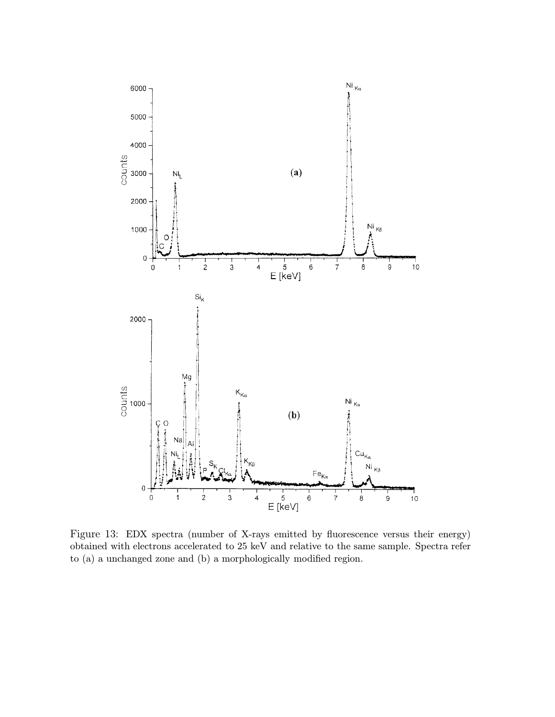

Figure 13: EDX spectra (number of X-rays emitted by fluorescence versus their energy) obtained with electrons accelerated to 25 keV and relative to the same sample. Spectra refer to (a) a unchanged zone and (b) a morphologically modified region.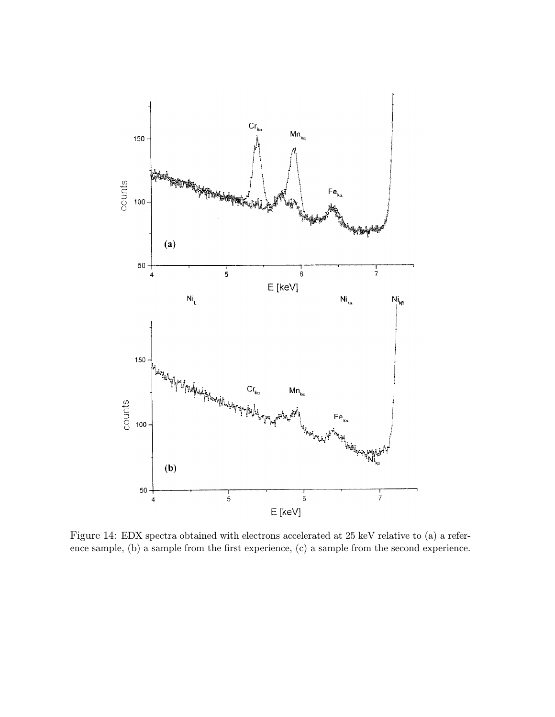

Figure 14: EDX spectra obtained with electrons accelerated at 25 keV relative to (a) a reference sample, (b) a sample from the first experience, (c) a sample from the second experience.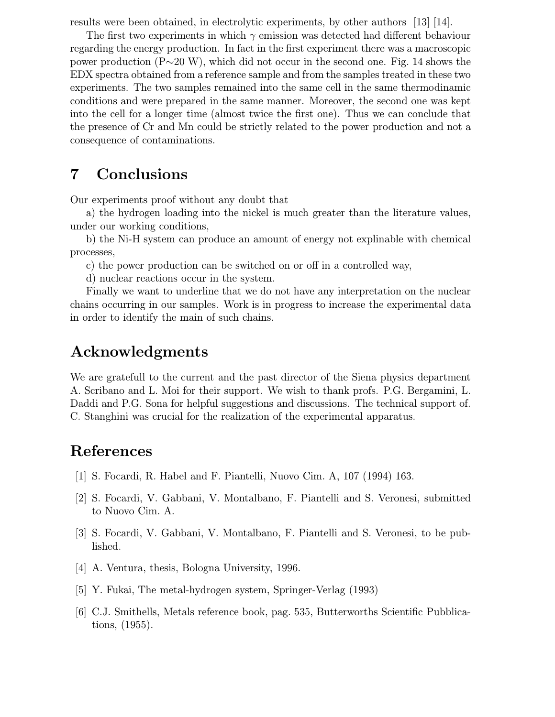results were been obtained, in electrolytic experiments, by other authors [13] [14].

The first two experiments in which  $\gamma$  emission was detected had different behaviour regarding the energy production. In fact in the first experiment there was a macroscopic power production (P∼20 W), which did not occur in the second one. Fig. 14 shows the EDX spectra obtained from a reference sample and from the samples treated in these two experiments. The two samples remained into the same cell in the same thermodinamic conditions and were prepared in the same manner. Moreover, the second one was kept into the cell for a longer time (almost twice the first one). Thus we can conclude that the presence of Cr and Mn could be strictly related to the power production and not a consequence of contaminations.

### 7 Conclusions

Our experiments proof without any doubt that

a) the hydrogen loading into the nickel is much greater than the literature values, under our working conditions,

b) the Ni-H system can produce an amount of energy not explinable with chemical processes,

c) the power production can be switched on or off in a controlled way,

d) nuclear reactions occur in the system.

Finally we want to underline that we do not have any interpretation on the nuclear chains occurring in our samples. Work is in progress to increase the experimental data in order to identify the main of such chains.

### Acknowledgments

We are gratefull to the current and the past director of the Siena physics department A. Scribano and L. Moi for their support. We wish to thank profs. P.G. Bergamini, L. Daddi and P.G. Sona for helpful suggestions and discussions. The technical support of. C. Stanghini was crucial for the realization of the experimental apparatus.

# References

- [1] S. Focardi, R. Habel and F. Piantelli, Nuovo Cim. A, 107 (1994) 163.
- [2] S. Focardi, V. Gabbani, V. Montalbano, F. Piantelli and S. Veronesi, submitted to Nuovo Cim. A.
- [3] S. Focardi, V. Gabbani, V. Montalbano, F. Piantelli and S. Veronesi, to be published.
- [4] A. Ventura, thesis, Bologna University, 1996.
- [5] Y. Fukai, The metal-hydrogen system, Springer-Verlag (1993)
- [6] C.J. Smithells, Metals reference book, pag. 535, Butterworths Scientific Pubblications, (1955).